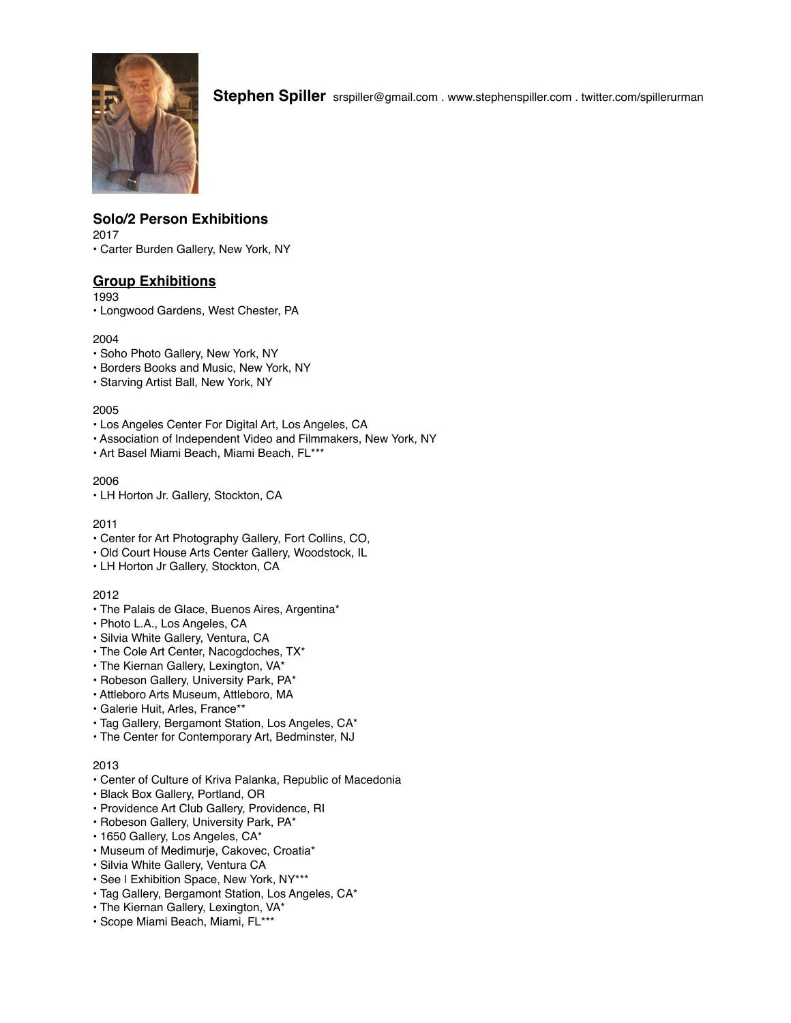

**Stephen Spiller** srspiller@gmail.com . www.stephenspiller.com . twitter.com/spillerurman

# **Solo/2 Person Exhibitions**

2017

• Carter Burden Gallery, New York, NY

# **Group Exhibitions**

1993

• Longwood Gardens, West Chester, PA

## 2004

- Soho Photo Gallery, New York, NY
- Borders Books and Music, New York, NY
- Starving Artist Ball, New York, NY

## 2005

- Los Angeles Center For Digital Art, Los Angeles, CA
- Association of Independent Video and Filmmakers, New York, NY
- Art Basel Miami Beach, Miami Beach, FL\*\*\*

## 2006

• LH Horton Jr. Gallery, Stockton, CA

## 2011

- Center for Art Photography Gallery, Fort Collins, CO,
- Old Court House Arts Center Gallery, Woodstock, IL
- LH Horton Jr Gallery, Stockton, CA

## 2012

- The Palais de Glace, Buenos Aires, Argentina\*
- Photo L.A., Los Angeles, CA
- Silvia White Gallery, Ventura, CA
- The Cole Art Center, Nacogdoches, TX\*
- The Kiernan Gallery, Lexington, VA\*
- Robeson Gallery, University Park, PA\*
- Attleboro Arts Museum, Attleboro, MA
- Galerie Huit, Arles, France\*\*
- Tag Gallery, Bergamont Station, Los Angeles, CA\*
- The Center for Contemporary Art, Bedminster, NJ

## 2013

- Center of Culture of Kriva Palanka, Republic of Macedonia
- Black Box Gallery, Portland, OR
- Providence Art Club Gallery, Providence, RI
- Robeson Gallery, University Park, PA\*
- 1650 Gallery, Los Angeles, CA\*
- Museum of Medimurje, Cakovec, Croatia\*
- Silvia White Gallery, Ventura CA
- See | Exhibition Space, New York, NY\*\*\*
- Tag Gallery, Bergamont Station, Los Angeles, CA\*
- The Kiernan Gallery, Lexington, VA\*
- Scope Miami Beach, Miami, FL\*\*\*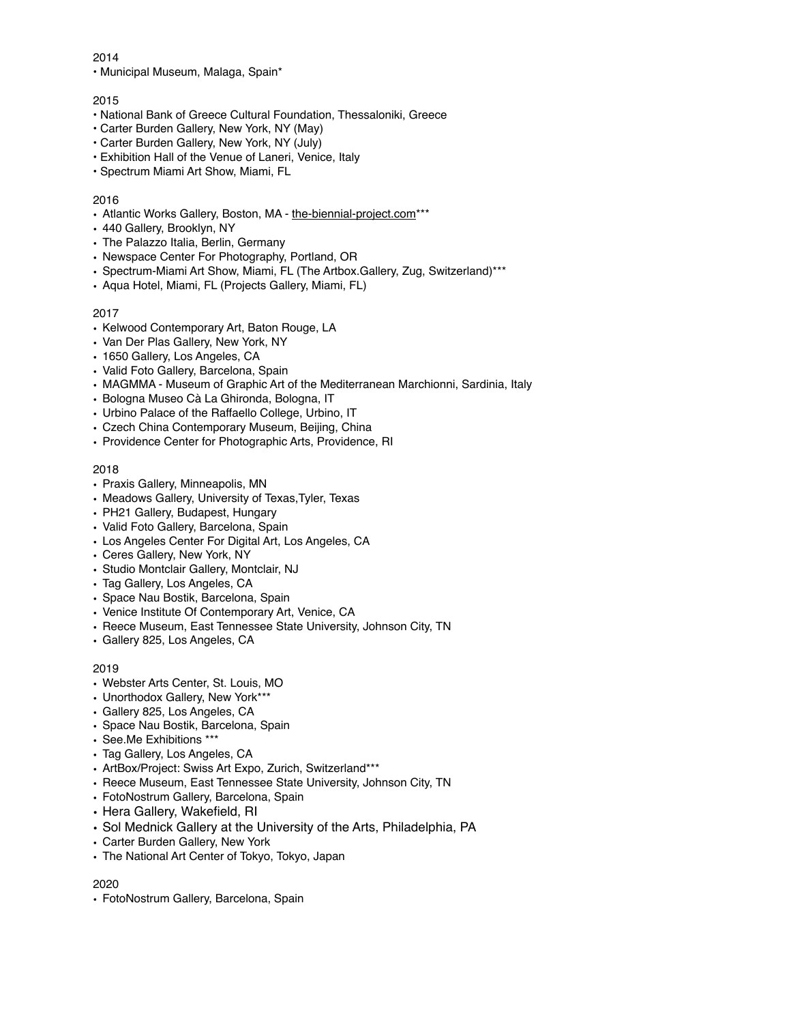• Municipal Museum, Malaga, Spain\*

#### 2015

- National Bank of Greece Cultural Foundation, Thessaloniki, Greece
- Carter Burden Gallery, New York, NY (May)
- Carter Burden Gallery, New York, NY (July)
- Exhibition Hall of the Venue of Laneri, Venice, Italy
- Spectrum Miami Art Show, Miami, FL

#### 2016

- Atlantic Works Gallery, Boston, MA - [the-biennial-project.com](http://the-biennial-project.com)<sup>\*\*\*</sup>
- 440 Gallery, Brooklyn, NY
- The Palazzo Italia, Berlin, Germany
- Newspace Center For Photography, Portland, OR
- Spectrum-Miami Art Show, Miami, FL (The Artbox.Gallery, Zug, Switzerland)\*\*\*
- Aqua Hotel, Miami, FL (Projects Gallery, Miami, FL)

## 2017

- Kelwood Contemporary Art, Baton Rouge, LA
- Van Der Plas Gallery, New York, NY
- 1650 Gallery, Los Angeles, CA
- Valid Foto Gallery, Barcelona, Spain
- MAGMMA Museum of Graphic Art of the Mediterranean Marchionni, Sardinia, Italy
- Bologna Museo Cà La Ghironda, Bologna, IT
- Urbino Palace of the Raffaello College, Urbino, IT
- Czech China Contemporary Museum, Beijing, China
- Providence Center for Photographic Arts, Providence, RI

## 2018

- Praxis Gallery, Minneapolis, MN
- Meadows Gallery, University of Texas,Tyler, Texas
- PH21 Gallery, Budapest, Hungary
- Valid Foto Gallery, Barcelona, Spain
- Los Angeles Center For Digital Art, Los Angeles, CA
- Ceres Gallery, New York, NY
- Studio Montclair Gallery, Montclair, NJ
- Tag Gallery, Los Angeles, CA
- Space Nau Bostik, Barcelona, Spain
- Venice Institute Of Contemporary Art, Venice, CA
- Reece Museum, East Tennessee State University, Johnson City, TN
- Gallery 825, Los Angeles, CA

#### 2019

- Webster Arts Center, St. Louis, MO
- Unorthodox Gallery, New York\*\*\*
- Gallery 825, Los Angeles, CA
- Space Nau Bostik, Barcelona, Spain
- See.Me Exhibitions \*\*\*
- Tag Gallery, Los Angeles, CA
- ArtBox/Project: Swiss Art Expo, Zurich, Switzerland\*\*\*
- Reece Museum, East Tennessee State University, Johnson City, TN
- FotoNostrum Gallery, Barcelona, Spain
- Hera Gallery, Wakefield, RI
- Sol Mednick Gallery at the University of the Arts, Philadelphia, PA
- Carter Burden Gallery, New York
- The National Art Center of Tokyo, Tokyo, Japan

#### 2020

• FotoNostrum Gallery, Barcelona, Spain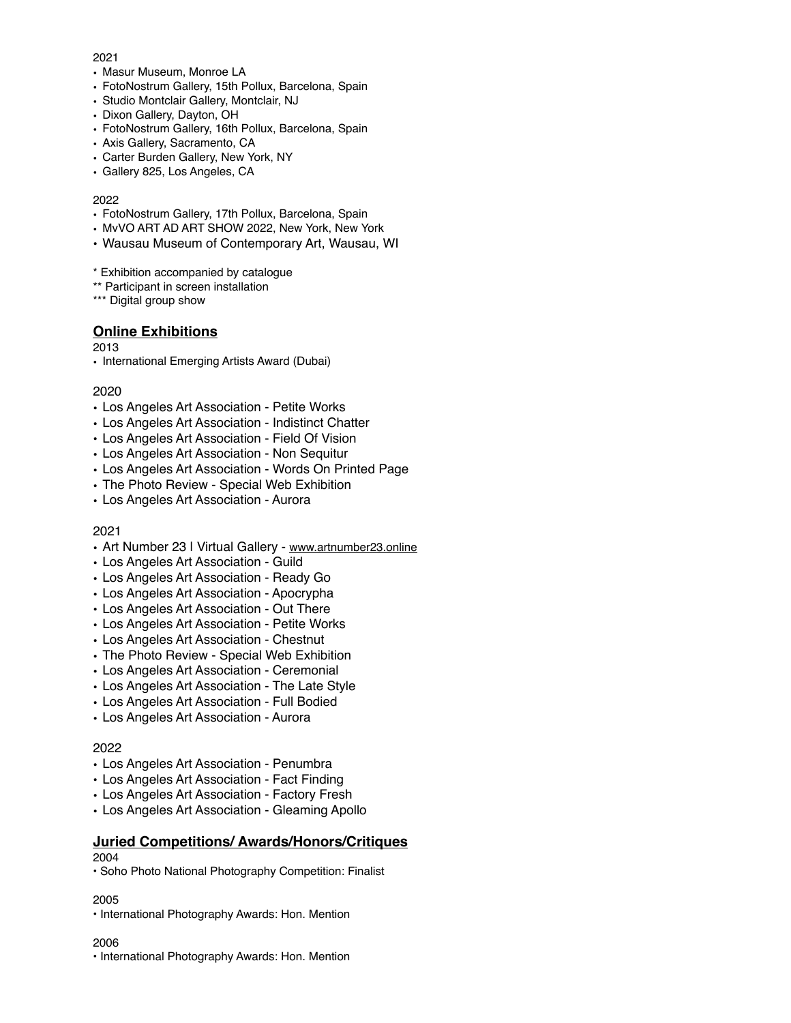- Masur Museum, Monroe LA
- FotoNostrum Gallery, 15th Pollux, Barcelona, Spain
- Studio Montclair Gallery, Montclair, NJ
- Dixon Gallery, Dayton, OH
- FotoNostrum Gallery, 16th Pollux, Barcelona, Spain
- Axis Gallery, Sacramento, CA
- Carter Burden Gallery, New York, NY
- Gallery 825, Los Angeles, CA

#### 2022

- FotoNostrum Gallery, 17th Pollux, Barcelona, Spain
- MvVO ART AD ART SHOW 2022, New York, New York
- Wausau Museum of Contemporary Art, Wausau, WI
- \* Exhibition accompanied by catalogue
- \*\* Participant in screen installation

\*\*\* Digital group show

# **Online Exhibitions**

#### 2013

• International Emerging Artists Award (Dubai)

## 2020

- Los Angeles Art Association Petite Works
- Los Angeles Art Association Indistinct Chatter
- Los Angeles Art Association Field Of Vision
- Los Angeles Art Association Non Sequitur
- Los Angeles Art Association Words On Printed Page
- The Photo Review Special Web Exhibition
- Los Angeles Art Association Aurora

## 2021

- Art Number 23 | Virtual Gallery - [www.artnumber23.online](http://www.artnumber23.online)
- Los Angeles Art Association Guild
- Los Angeles Art Association Ready Go
- Los Angeles Art Association Apocrypha
- Los Angeles Art Association Out There
- Los Angeles Art Association Petite Works
- Los Angeles Art Association Chestnut
- The Photo Review Special Web Exhibition
- Los Angeles Art Association Ceremonial
- Los Angeles Art Association The Late Style
- Los Angeles Art Association Full Bodied
- Los Angeles Art Association Aurora

## 2022

- Los Angeles Art Association Penumbra
- Los Angeles Art Association Fact Finding
- Los Angeles Art Association Factory Fresh
- Los Angeles Art Association Gleaming Apollo

## **Juried Competitions/ Awards/Honors/Critiques**

## 2004

• Soho Photo National Photography Competition: Finalist

#### 2005

• International Photography Awards: Hon. Mention

#### 2006

• International Photography Awards: Hon. Mention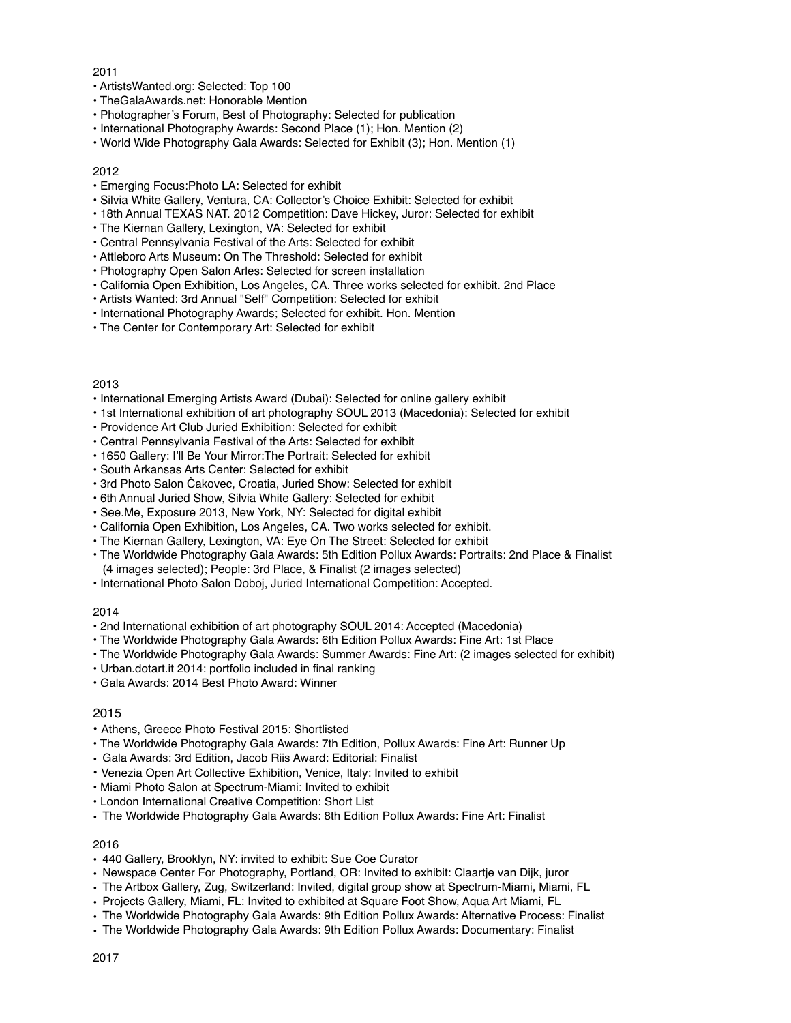- ArtistsWanted.org: Selected: Top 100
- TheGalaAwards.net: Honorable Mention
- Photographer's Forum, Best of Photography: Selected for publication
- International Photography Awards: Second Place (1); Hon. Mention (2)
- World Wide Photography Gala Awards: Selected for Exhibit (3); Hon. Mention (1)

#### 2012

- Emerging Focus:Photo LA: Selected for exhibit
- Silvia White Gallery, Ventura, CA: Collector's Choice Exhibit: Selected for exhibit
- 18th Annual TEXAS NAT. 2012 Competition: Dave Hickey, Juror: Selected for exhibit
- The Kiernan Gallery, Lexington, VA: Selected for exhibit
- Central Pennsylvania Festival of the Arts: Selected for exhibit
- Attleboro Arts Museum: On The Threshold: Selected for exhibit
- Photography Open Salon Arles: Selected for screen installation
- California Open Exhibition, Los Angeles, CA. Three works selected for exhibit. 2nd Place
- Artists Wanted: 3rd Annual "Self" Competition: Selected for exhibit
- International Photography Awards; Selected for exhibit. Hon. Mention
- The Center for Contemporary Art: Selected for exhibit

#### 2013

- International Emerging Artists Award (Dubai): Selected for online gallery exhibit
- 1st International exhibition of art photography SOUL 2013 (Macedonia): Selected for exhibit
- Providence Art Club Juried Exhibition: Selected for exhibit
- Central Pennsylvania Festival of the Arts: Selected for exhibit
- 1650 Gallery: I'll Be Your Mirror:The Portrait: Selected for exhibit
- South Arkansas Arts Center: Selected for exhibit
- 3rd Photo Salon Čakovec, Croatia, Juried Show: Selected for exhibit
- 6th Annual Juried Show, Silvia White Gallery: Selected for exhibit
- See.Me, Exposure 2013, New York, NY: Selected for digital exhibit
- California Open Exhibition, Los Angeles, CA. Two works selected for exhibit.
- The Kiernan Gallery, Lexington, VA: Eye On The Street: Selected for exhibit
- The Worldwide Photography Gala Awards: 5th Edition Pollux Awards: Portraits: 2nd Place & Finalist (4 images selected); People: 3rd Place, & Finalist (2 images selected)
- International Photo Salon Doboj, Juried International Competition: Accepted.

#### 2014

- 2nd International exhibition of art photography SOUL 2014: Accepted (Macedonia)
- The Worldwide Photography Gala Awards: 6th Edition Pollux Awards: Fine Art: 1st Place
- The Worldwide Photography Gala Awards: Summer Awards: Fine Art: (2 images selected for exhibit)
- Urban.dotart.it 2014: portfolio included in final ranking
- Gala Awards: 2014 Best Photo Award: Winner

#### 2015

- Athens, Greece Photo Festival 2015: Shortlisted
- The Worldwide Photography Gala Awards: 7th Edition, Pollux Awards: Fine Art: Runner Up
- Gala Awards: 3rd Edition, Jacob Riis Award: Editorial: Finalist
- Venezia Open Art Collective Exhibition, Venice, Italy: Invited to exhibit
- Miami Photo Salon at Spectrum-Miami: Invited to exhibit
- London International Creative Competition: Short List
- The Worldwide Photography Gala Awards: 8th Edition Pollux Awards: Fine Art: Finalist

#### 2016

- 440 Gallery, Brooklyn, NY: invited to exhibit: Sue Coe Curator
- Newspace Center For Photography, Portland, OR: Invited to exhibit: Claartje van Dijk, juror
- The Artbox Gallery, Zug, Switzerland: Invited, digital group show at Spectrum-Miami, Miami, FL
- Projects Gallery, Miami, FL: Invited to exhibited at Square Foot Show, Aqua Art Miami, FL
- The Worldwide Photography Gala Awards: 9th Edition Pollux Awards: Alternative Process: Finalist
- The Worldwide Photography Gala Awards: 9th Edition Pollux Awards: Documentary: Finalist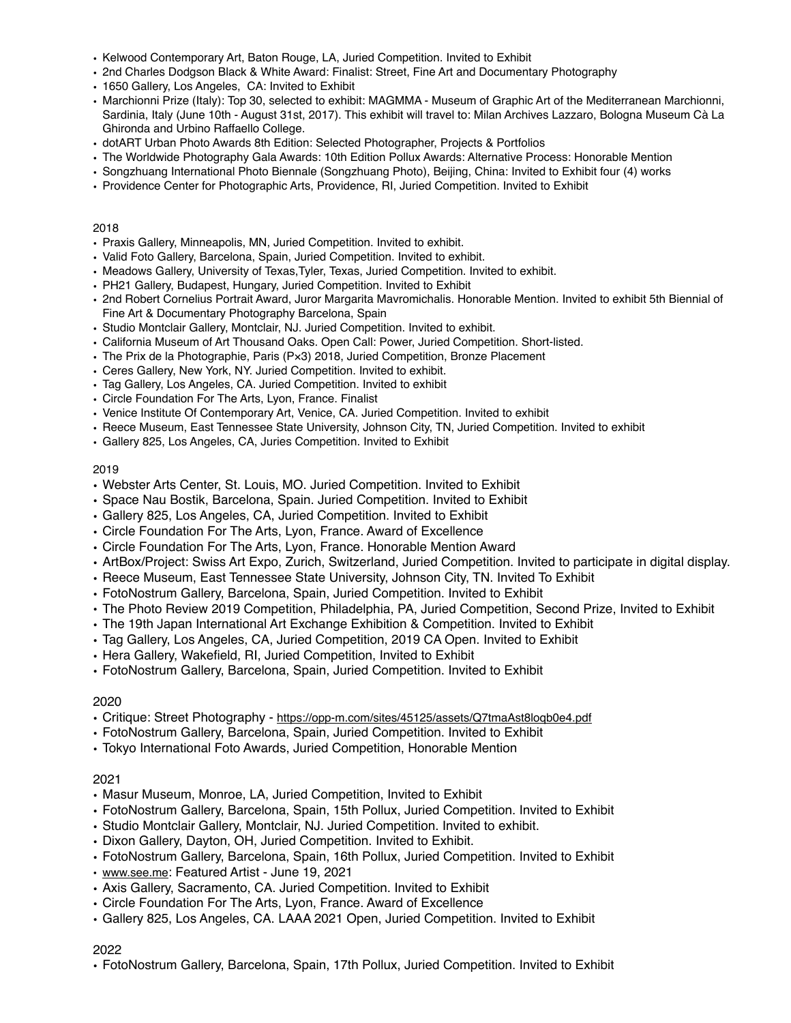- Kelwood Contemporary Art, Baton Rouge, LA, Juried Competition. Invited to Exhibit
- 2nd Charles Dodgson Black & White Award: Finalist: Street, Fine Art and Documentary Photography
- 1650 Gallery, Los Angeles, CA: Invited to Exhibit
- Marchionni Prize (Italy): Top 30, selected to exhibit: MAGMMA Museum of Graphic Art of the Mediterranean Marchionni, Sardinia, Italy (June 10th - August 31st, 2017). This exhibit will travel to: Milan Archives Lazzaro, Bologna Museum Cà La Ghironda and Urbino Raffaello College.
- dotART Urban Photo Awards 8th Edition: Selected Photographer, Projects & Portfolios
- The Worldwide Photography Gala Awards: 10th Edition Pollux Awards: Alternative Process: Honorable Mention
- Songzhuang International Photo Biennale (Songzhuang Photo), Beijing, China: Invited to Exhibit four (4) works
- Providence Center for Photographic Arts, Providence, RI, Juried Competition. Invited to Exhibit

- Praxis Gallery, Minneapolis, MN, Juried Competition. Invited to exhibit.
- Valid Foto Gallery, Barcelona, Spain, Juried Competition. Invited to exhibit.
- Meadows Gallery, University of Texas,Tyler, Texas, Juried Competition. Invited to exhibit.
- PH21 Gallery, Budapest, Hungary, Juried Competition. Invited to Exhibit
- 2nd Robert Cornelius Portrait Award, Juror Margarita Mavromichalis. Honorable Mention. Invited to exhibit 5th Biennial of Fine Art & Documentary Photography Barcelona, Spain
- Studio Montclair Gallery, Montclair, NJ. Juried Competition. Invited to exhibit.
- California Museum of Art Thousand Oaks. Open Call: Power, Juried Competition. Short-listed.
- The Prix de la Photographie, Paris (P×3) 2018, Juried Competition, Bronze Placement
- Ceres Gallery, New York, NY. Juried Competition. Invited to exhibit.
- Tag Gallery, Los Angeles, CA. Juried Competition. Invited to exhibit
- Circle Foundation For The Arts, Lyon, France. Finalist
- Venice Institute Of Contemporary Art, Venice, CA. Juried Competition. Invited to exhibit
- Reece Museum, East Tennessee State University, Johnson City, TN, Juried Competition. Invited to exhibit
- Gallery 825, Los Angeles, CA, Juries Competition. Invited to Exhibit

## 2019

- Webster Arts Center, St. Louis, MO. Juried Competition. Invited to Exhibit
- Space Nau Bostik, Barcelona, Spain. Juried Competition. Invited to Exhibit
- Gallery 825, Los Angeles, CA, Juried Competition. Invited to Exhibit
- Circle Foundation For The Arts, Lyon, France. Award of Excellence
- Circle Foundation For The Arts, Lyon, France. Honorable Mention Award
- ArtBox/Project: Swiss Art Expo, Zurich, Switzerland, Juried Competition. Invited to participate in digital display.
- Reece Museum, East Tennessee State University, Johnson City, TN. Invited To Exhibit
- FotoNostrum Gallery, Barcelona, Spain, Juried Competition. Invited to Exhibit
- The Photo Review 2019 Competition, Philadelphia, PA, Juried Competition, Second Prize, Invited to Exhibit
- The 19th Japan International Art Exchange Exhibition & Competition. Invited to Exhibit
- Tag Gallery, Los Angeles, CA, Juried Competition, 2019 CA Open. Invited to Exhibit
- Hera Gallery, Wakefield, RI, Juried Competition, Invited to Exhibit
- FotoNostrum Gallery, Barcelona, Spain, Juried Competition. Invited to Exhibit

## 2020

- Critique: Street Photography -<https://opp-m.com/sites/45125/assets/Q7tmaAst8loqb0e4.pdf>
- FotoNostrum Gallery, Barcelona, Spain, Juried Competition. Invited to Exhibit
- Tokyo International Foto Awards, Juried Competition, Honorable Mention

## 2021

- Masur Museum, Monroe, LA, Juried Competition, Invited to Exhibit
- FotoNostrum Gallery, Barcelona, Spain, 15th Pollux, Juried Competition. Invited to Exhibit
- Studio Montclair Gallery, Montclair, NJ. Juried Competition. Invited to exhibit.
- Dixon Gallery, Dayton, OH, Juried Competition. Invited to Exhibit.
- FotoNostrum Gallery, Barcelona, Spain, 16th Pollux, Juried Competition. Invited to Exhibit
- [www.see.me](http://www.see.me): Featured Artist June 19, 2021
- Axis Gallery, Sacramento, CA. Juried Competition. Invited to Exhibit
- Circle Foundation For The Arts, Lyon, France. Award of Excellence
- Gallery 825, Los Angeles, CA. LAAA 2021 Open, Juried Competition. Invited to Exhibit

## 2022

• FotoNostrum Gallery, Barcelona, Spain, 17th Pollux, Juried Competition. Invited to Exhibit